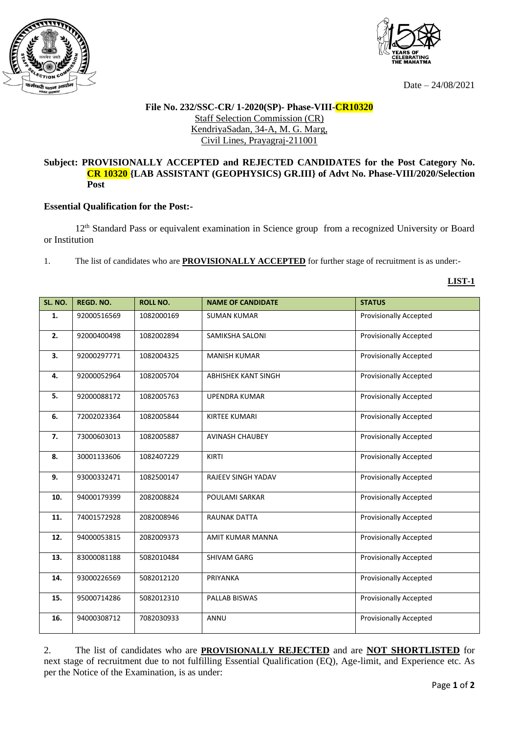



Date – 24/08/2021

## **File No. 232/SSC-CR/ 1-2020(SP)- Phase-VIII-CR10320** Staff Selection Commission (CR) KendriyaSadan, 34-A, M. G. Marg, Civil Lines, Prayagraj-211001

## **Subject: PROVISIONALLY ACCEPTED and REJECTED CANDIDATES for the Post Category No. CR 10320 {LAB ASSISTANT (GEOPHYSICS) GR.III} of Advt No. Phase-VIII/2020/Selection Post**

## **Essential Qualification for the Post:-**

12<sup>th</sup> Standard Pass or equivalent examination in Science group from a recognized University or Board or Institution

1. The list of candidates who are **PROVISIONALLY ACCEPTED** for further stage of recruitment is as under:-

**LIST-1**

| <b>SL. NO.</b> | <b>REGD. NO.</b> | <b>ROLL NO.</b> | <b>NAME OF CANDIDATE</b>   | <b>STATUS</b>                 |
|----------------|------------------|-----------------|----------------------------|-------------------------------|
|                |                  |                 |                            |                               |
| 1.             | 92000516569      | 1082000169      | <b>SUMAN KUMAR</b>         | <b>Provisionally Accepted</b> |
| 2.             | 92000400498      | 1082002894      | SAMIKSHA SALONI            | <b>Provisionally Accepted</b> |
| 3.             | 92000297771      | 1082004325      | <b>MANISH KUMAR</b>        | <b>Provisionally Accepted</b> |
| 4.             | 92000052964      | 1082005704      | <b>ABHISHEK KANT SINGH</b> | <b>Provisionally Accepted</b> |
| 5.             | 92000088172      | 1082005763      | <b>UPENDRA KUMAR</b>       | <b>Provisionally Accepted</b> |
| 6.             | 72002023364      | 1082005844      | <b>KIRTEE KUMARI</b>       | <b>Provisionally Accepted</b> |
| 7.             | 73000603013      | 1082005887      | <b>AVINASH CHAUBEY</b>     | <b>Provisionally Accepted</b> |
| 8.             | 30001133606      | 1082407229      | KIRTI                      | <b>Provisionally Accepted</b> |
| 9.             | 93000332471      | 1082500147      | RAJEEV SINGH YADAV         | <b>Provisionally Accepted</b> |
| 10.            | 94000179399      | 2082008824      | <b>POULAMI SARKAR</b>      | <b>Provisionally Accepted</b> |
| 11.            | 74001572928      | 2082008946      | <b>RAUNAK DATTA</b>        | <b>Provisionally Accepted</b> |
| 12.            | 94000053815      | 2082009373      | AMIT KUMAR MANNA           | <b>Provisionally Accepted</b> |
| 13.            | 83000081188      | 5082010484      | SHIVAM GARG                | <b>Provisionally Accepted</b> |
| 14.            | 93000226569      | 5082012120      | PRIYANKA                   | <b>Provisionally Accepted</b> |
| 15.            | 95000714286      | 5082012310      | PALLAB BISWAS              | <b>Provisionally Accepted</b> |
| 16.            | 94000308712      | 7082030933      | <b>ANNU</b>                | Provisionally Accepted        |

2. The list of candidates who are **PROVISIONALLY REJECTED** and are **NOT SHORTLISTED** for next stage of recruitment due to not fulfilling Essential Qualification (EQ), Age-limit, and Experience etc. As per the Notice of the Examination, is as under: